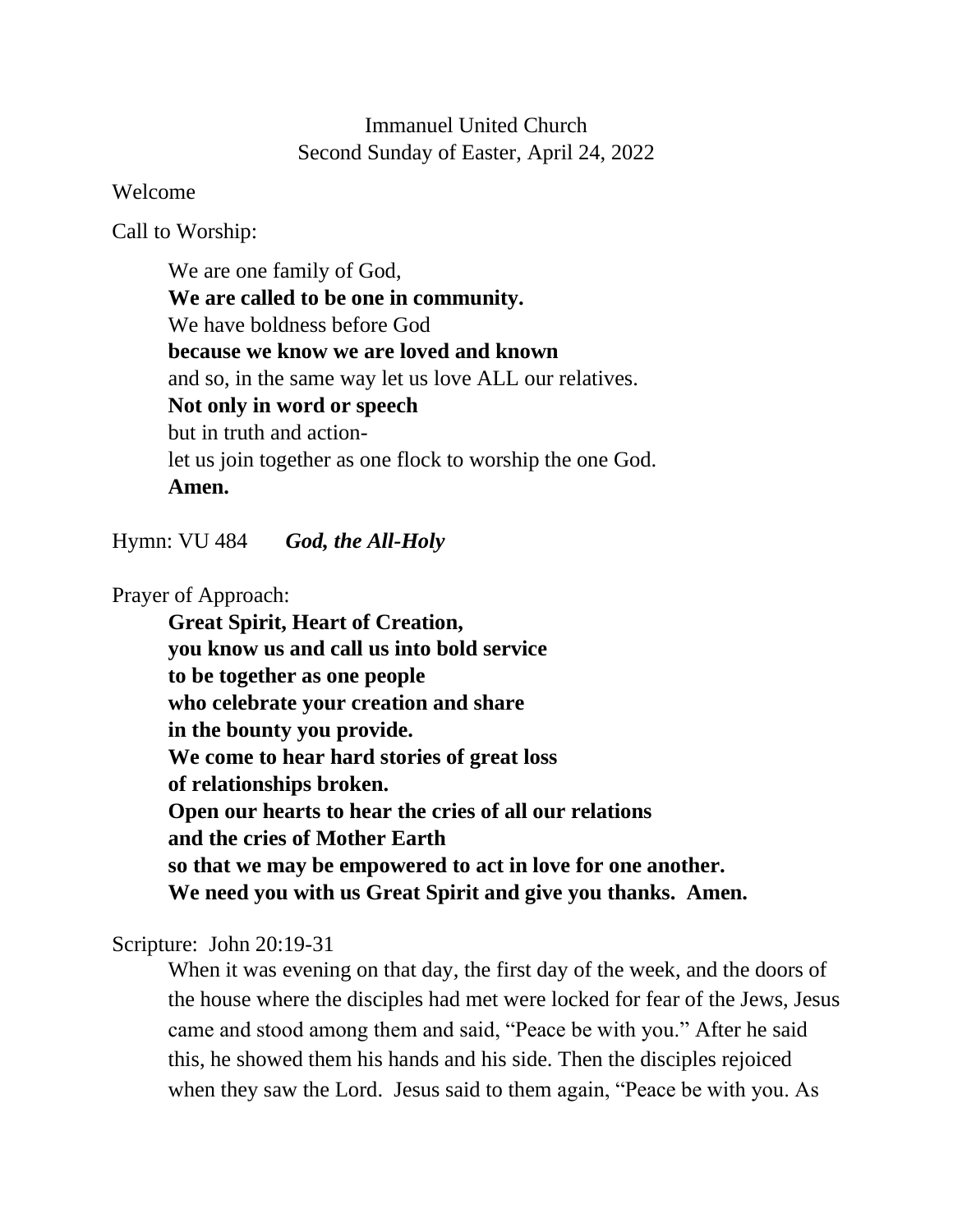## Immanuel United Church Second Sunday of Easter, April 24, 2022

Welcome

Call to Worship:

We are one family of God, **We are called to be one in community.** We have boldness before God **because we know we are loved and known** and so, in the same way let us love ALL our relatives. **Not only in word or speech** but in truth and actionlet us join together as one flock to worship the one God. **Amen.**

Hymn: VU 484 *God, the All-Holy*

Prayer of Approach:

**Great Spirit, Heart of Creation, you know us and call us into bold service to be together as one people who celebrate your creation and share in the bounty you provide. We come to hear hard stories of great loss of relationships broken. Open our hearts to hear the cries of all our relations and the cries of Mother Earth so that we may be empowered to act in love for one another. We need you with us Great Spirit and give you thanks. Amen.**

Scripture:John 20:19-31

When it was evening on that day, the first day of the week, and the doors of the house where the disciples had met were locked for fear of the Jews, Jesus came and stood among them and said, "Peace be with you." After he said this, he showed them his hands and his side. Then the disciples rejoiced when they saw the Lord. Jesus said to them again, "Peace be with you. As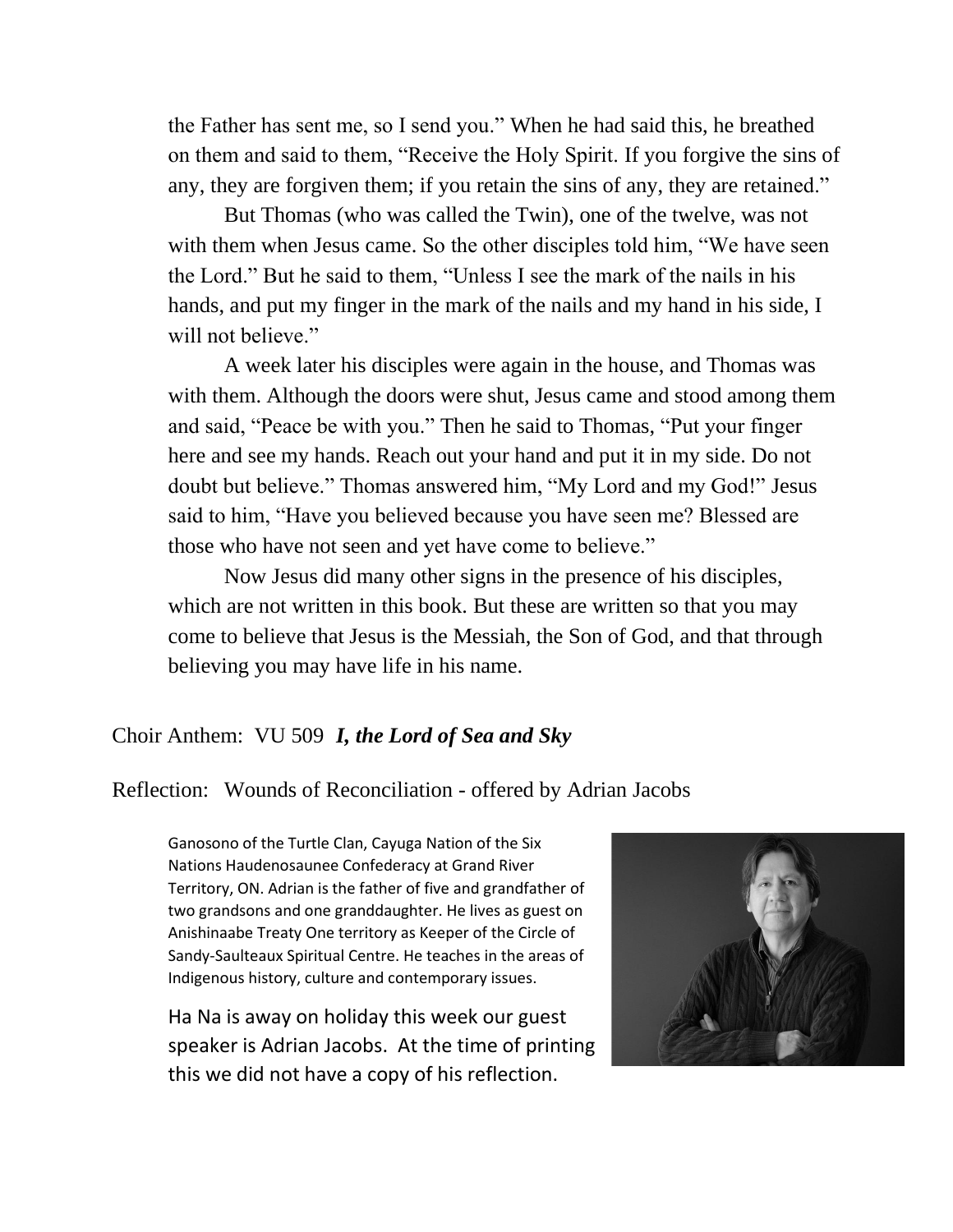the Father has sent me, so I send you." When he had said this, he breathed on them and said to them, "Receive the Holy Spirit. If you forgive the sins of any, they are forgiven them; if you retain the sins of any, they are retained."

But Thomas (who was called the Twin), one of the twelve, was not with them when Jesus came. So the other disciples told him, "We have seen the Lord." But he said to them, "Unless I see the mark of the nails in his hands, and put my finger in the mark of the nails and my hand in his side, I will not believe."

A week later his disciples were again in the house, and Thomas was with them. Although the doors were shut, Jesus came and stood among them and said, "Peace be with you." Then he said to Thomas, "Put your finger here and see my hands. Reach out your hand and put it in my side. Do not doubt but believe." Thomas answered him, "My Lord and my God!" Jesus said to him, "Have you believed because you have seen me? Blessed are those who have not seen and yet have come to believe."

Now Jesus did many other signs in the presence of his disciples, which are not written in this book. But these are written so that you may come to believe that Jesus is the Messiah, the Son of God, and that through believing you may have life in his name.

## Choir Anthem: VU 509 *I, the Lord of Sea and Sky*

## Reflection: Wounds of Reconciliation - offered by Adrian Jacobs

Ganosono of the Turtle Clan, Cayuga Nation of the Six Nations Haudenosaunee Confederacy at Grand River Territory, ON. Adrian is the father of five and grandfather of two grandsons and one granddaughter. He lives as guest on Anishinaabe Treaty One territory as Keeper of the Circle of Sandy-Saulteaux Spiritual Centre. He teaches in the areas of Indigenous history, culture and contemporary issues.

Ha Na is away on holiday this week our guest speaker is Adrian Jacobs. At the time of printing this we did not have a copy of his reflection.

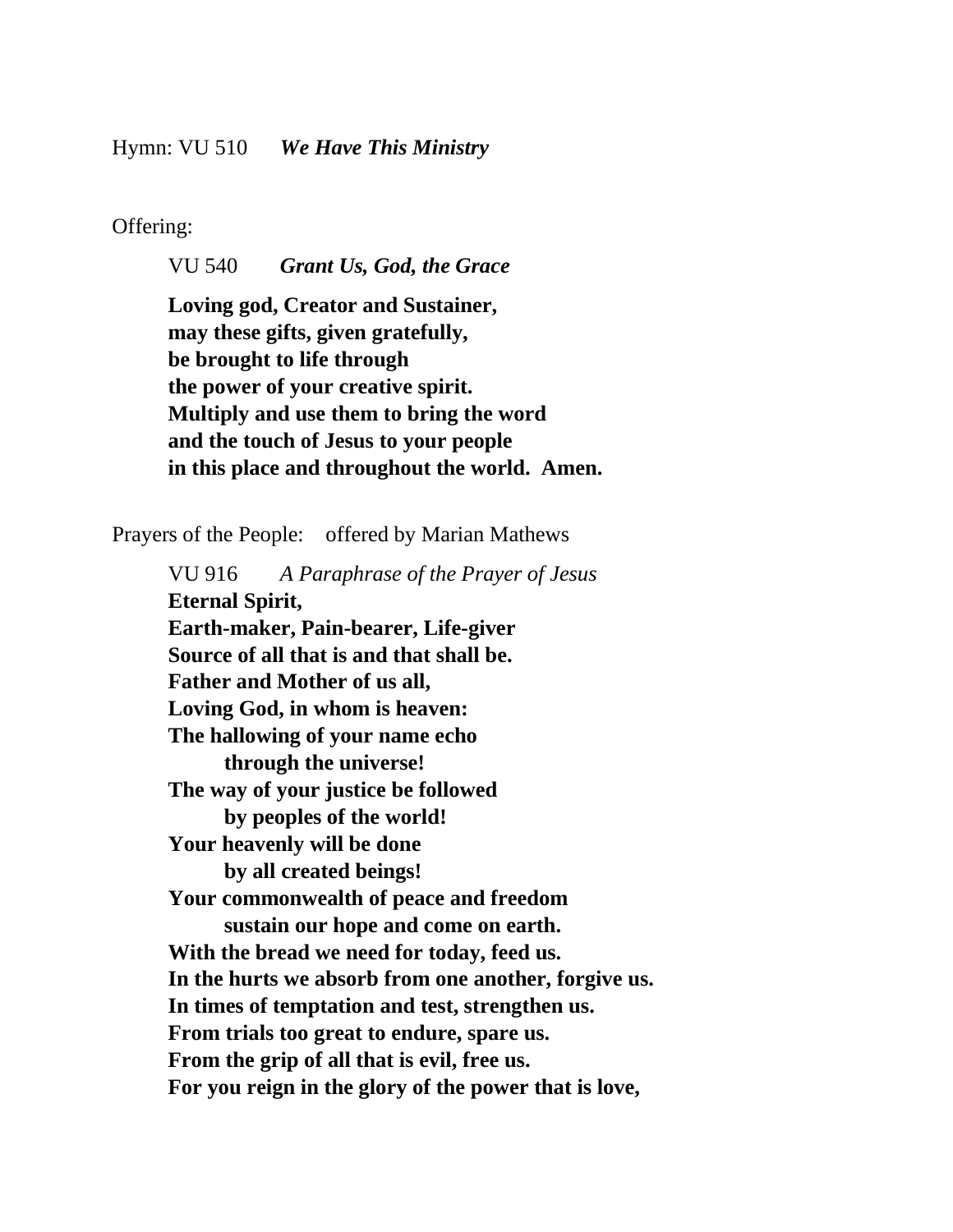Offering:

VU 540 *Grant Us, God, the Grace*

**Loving god, Creator and Sustainer, may these gifts, given gratefully, be brought to life through the power of your creative spirit. Multiply and use them to bring the word and the touch of Jesus to your people in this place and throughout the world. Amen.**

Prayers of the People: offered by Marian Mathews

VU 916 *A Paraphrase of the Prayer of Jesus* **Eternal Spirit, Earth-maker, Pain-bearer, Life-giver Source of all that is and that shall be. Father and Mother of us all, Loving God, in whom is heaven: The hallowing of your name echo through the universe! The way of your justice be followed by peoples of the world! Your heavenly will be done by all created beings! Your commonwealth of peace and freedom sustain our hope and come on earth. With the bread we need for today, feed us. In the hurts we absorb from one another, forgive us. In times of temptation and test, strengthen us. From trials too great to endure, spare us. From the grip of all that is evil, free us. For you reign in the glory of the power that is love,**